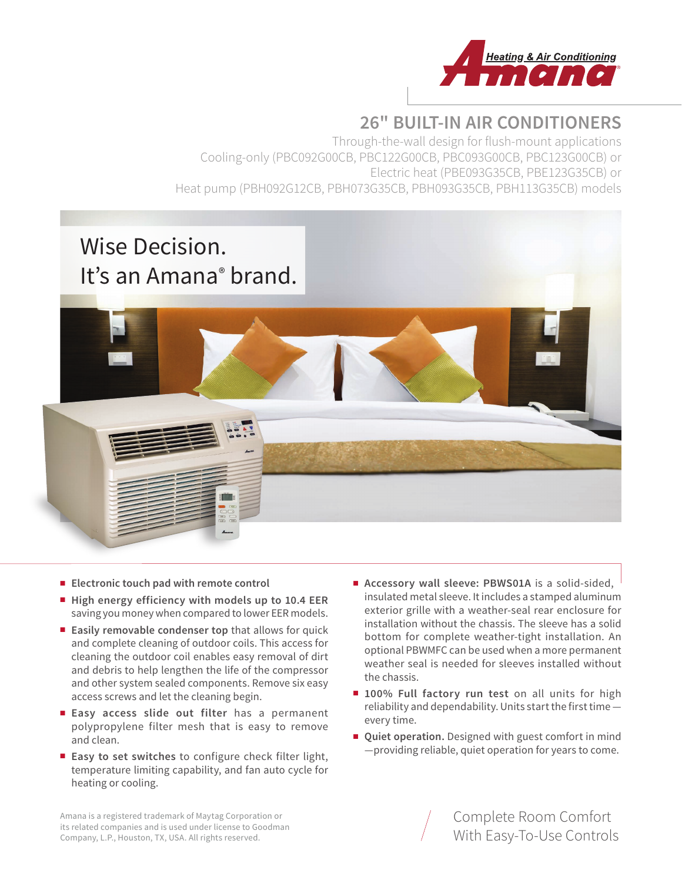

# **26" BUILT-IN AIR CONDITIONERS**

Through-the-wall design for flush-mount applications Cooling-only (PBC092G00CB, PBC122G00CB, PBC093G00CB, PBC123G00CB) or Electric heat (PBE093G35CB, PBE123G35CB) or Heat pump (PBH092G12CB, PBH073G35CB, PBH093G35CB, PBH113G35CB) models

# Wise Decision. It's an Amana® brand.



- **Electronic touch pad with remote control**
- **High energy efficiency with models up to 10.4 EER** saving you money when compared to lower EER models.
- **Easily removable condenser top** that allows for quick and complete cleaning of outdoor coils. This access for cleaning the outdoor coil enables easy removal of dirt and debris to help lengthen the life of the compressor and other system sealed components. Remove six easy access screws and let the cleaning begin.
- **Easy access slide out filter** has a permanent polypropylene filter mesh that is easy to remove and clean.
- **Easy to set switches** to configure check filter light, temperature limiting capability, and fan auto cycle for heating or cooling.
- **Accessory wall sleeve: PBWS01A** is a solid-sided, insulated metal sleeve. It includes a stamped aluminum exterior grille with a weather-seal rear enclosure for installation without the chassis. The sleeve has a solid bottom for complete weather-tight installation. An optional PBWMFC can be used when a more permanent weather seal is needed for sleeves installed without the chassis.
- 100% Full factory run test on all units for high reliability and dependability. Units start the first time every time.
- **Quiet operation.** Designed with guest comfort in mind —providing reliable, quiet operation for years to come.

Amana is a registered trademark of Maytag Corporation or its related companies and is used under license to Goodman Company, L.P., Houston, TX, USA. All rights reserved.

Complete Room Comfort With Easy-To-Use Controls